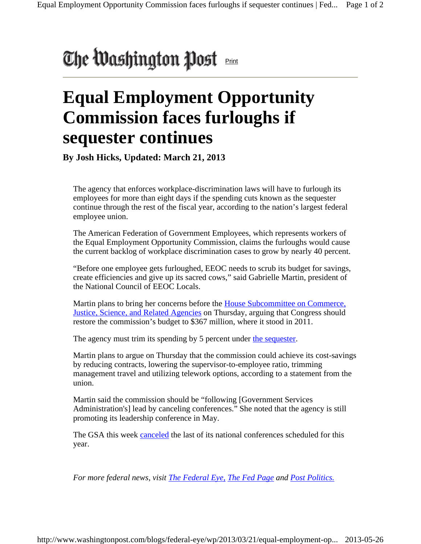## The Washington Post

## **Equal Employment Opportunity Commission faces furloughs if sequester continues**

**By Josh Hicks, Updated: March 21, 2013** 

The agency that enforces workplace-discrimination laws will have to furlough its employees for more than eight days if the spending cuts known as the sequester continue through the rest of the fiscal year, according to the nation's largest federal employee union.

The American Federation of Government Employees, which represents workers of the Equal Employment Opportunity Commission, claims the furloughs would cause the current backlog of workplace discrimination cases to grow by nearly 40 percent.

"Before one employee gets furloughed, EEOC needs to scrub its budget for savings, create efficiencies and give up its sacred cows," said Gabrielle Martin, president of the National Council of EEOC Locals.

Martin plans to bring her concerns before the House Subcommittee on Commerce, Justice, Science, and Related Agencies on Thursday, arguing that Congress should restore the commission's budget to \$367 million, where it stood in 2011.

The agency must trim its spending by 5 percent under the sequester.

Martin plans to argue on Thursday that the commission could achieve its cost-savings by reducing contracts, lowering the supervisor-to-employee ratio, trimming management travel and utilizing telework options, according to a statement from the union.

Martin said the commission should be "following [Government Services Administration's] lead by canceling conferences." She noted that the agency is still promoting its leadership conference in May.

The GSA this week canceled the last of its national conferences scheduled for this year.

*For more federal news, visit The Federal Eye, The Fed Page and Post Politics.*